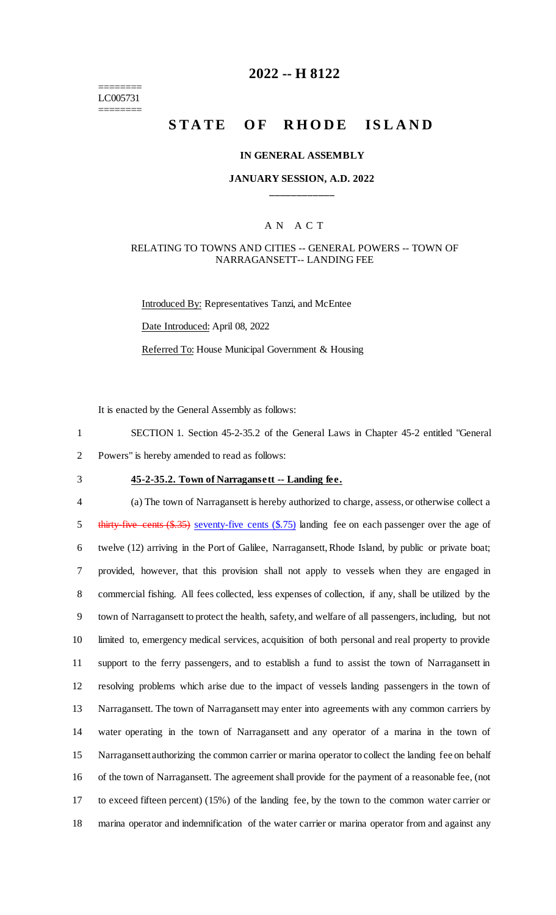======== LC005731 ========

## **2022 -- H 8122**

# **STATE OF RHODE ISLAND**

#### **IN GENERAL ASSEMBLY**

#### **JANUARY SESSION, A.D. 2022 \_\_\_\_\_\_\_\_\_\_\_\_**

#### A N A C T

#### RELATING TO TOWNS AND CITIES -- GENERAL POWERS -- TOWN OF NARRAGANSETT-- LANDING FEE

Introduced By: Representatives Tanzi, and McEntee Date Introduced: April 08, 2022 Referred To: House Municipal Government & Housing

It is enacted by the General Assembly as follows:

1 SECTION 1. Section 45-2-35.2 of the General Laws in Chapter 45-2 entitled "General 2 Powers" is hereby amended to read as follows:

3 **45-2-35.2. Town of Narragansett -- Landing fee.**

 (a) The town of Narragansett is hereby authorized to charge, assess, or otherwise collect a 5 thirty-five cents (\$.35) seventy-five cents (\$.75) landing fee on each passenger over the age of twelve (12) arriving in the Port of Galilee, Narragansett, Rhode Island, by public or private boat; provided, however, that this provision shall not apply to vessels when they are engaged in commercial fishing. All fees collected, less expenses of collection, if any, shall be utilized by the town of Narragansett to protect the health, safety, and welfare of all passengers, including, but not limited to, emergency medical services, acquisition of both personal and real property to provide support to the ferry passengers, and to establish a fund to assist the town of Narragansett in resolving problems which arise due to the impact of vessels landing passengers in the town of Narragansett. The town of Narragansett may enter into agreements with any common carriers by water operating in the town of Narragansett and any operator of a marina in the town of Narragansett authorizing the common carrier or marina operator to collect the landing fee on behalf of the town of Narragansett. The agreement shall provide for the payment of a reasonable fee, (not to exceed fifteen percent) (15%) of the landing fee, by the town to the common water carrier or marina operator and indemnification of the water carrier or marina operator from and against any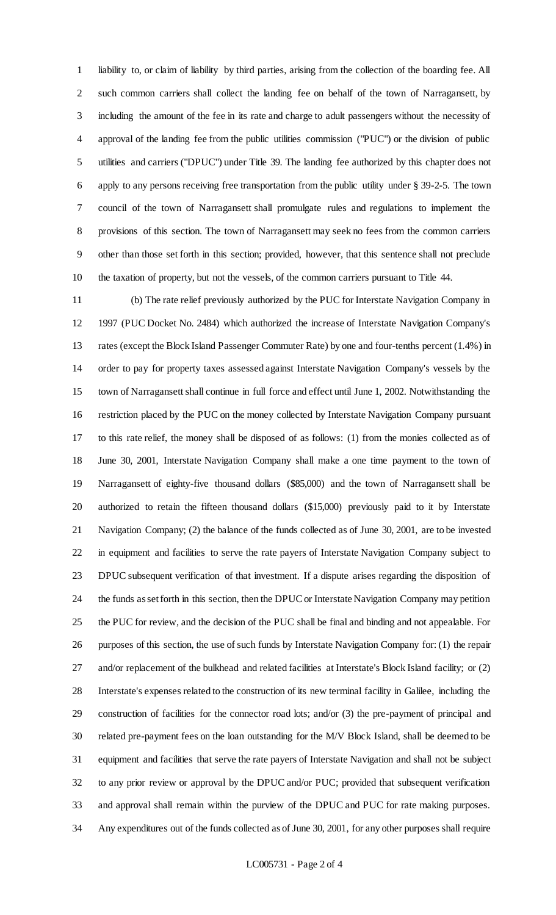liability to, or claim of liability by third parties, arising from the collection of the boarding fee. All such common carriers shall collect the landing fee on behalf of the town of Narragansett, by including the amount of the fee in its rate and charge to adult passengers without the necessity of approval of the landing fee from the public utilities commission ("PUC") or the division of public utilities and carriers ("DPUC") under Title 39. The landing fee authorized by this chapter does not apply to any persons receiving free transportation from the public utility under § 39-2-5. The town council of the town of Narragansett shall promulgate rules and regulations to implement the provisions of this section. The town of Narragansett may seek no fees from the common carriers other than those set forth in this section; provided, however, that this sentence shall not preclude the taxation of property, but not the vessels, of the common carriers pursuant to Title 44.

 (b) The rate relief previously authorized by the PUC for Interstate Navigation Company in 1997 (PUC Docket No. 2484) which authorized the increase of Interstate Navigation Company's rates (except the Block Island Passenger Commuter Rate) by one and four-tenths percent (1.4%) in order to pay for property taxes assessed against Interstate Navigation Company's vessels by the town of Narragansett shall continue in full force and effect until June 1, 2002. Notwithstanding the restriction placed by the PUC on the money collected by Interstate Navigation Company pursuant to this rate relief, the money shall be disposed of as follows: (1) from the monies collected as of June 30, 2001, Interstate Navigation Company shall make a one time payment to the town of Narragansett of eighty-five thousand dollars (\$85,000) and the town of Narragansett shall be authorized to retain the fifteen thousand dollars (\$15,000) previously paid to it by Interstate Navigation Company; (2) the balance of the funds collected as of June 30, 2001, are to be invested in equipment and facilities to serve the rate payers of Interstate Navigation Company subject to DPUC subsequent verification of that investment. If a dispute arises regarding the disposition of the funds as set forth in this section, then the DPUC or Interstate Navigation Company may petition the PUC for review, and the decision of the PUC shall be final and binding and not appealable. For purposes of this section, the use of such funds by Interstate Navigation Company for: (1) the repair and/or replacement of the bulkhead and related facilities at Interstate's Block Island facility; or (2) Interstate's expenses related to the construction of its new terminal facility in Galilee, including the construction of facilities for the connector road lots; and/or (3) the pre-payment of principal and related pre-payment fees on the loan outstanding for the M/V Block Island, shall be deemed to be equipment and facilities that serve the rate payers of Interstate Navigation and shall not be subject to any prior review or approval by the DPUC and/or PUC; provided that subsequent verification and approval shall remain within the purview of the DPUC and PUC for rate making purposes. Any expenditures out of the funds collected as of June 30, 2001, for any other purposes shall require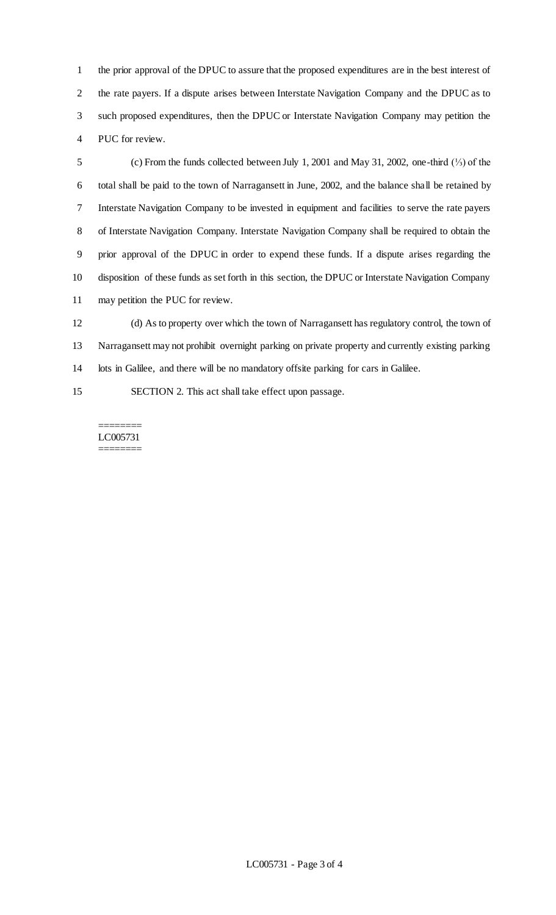the prior approval of the DPUC to assure that the proposed expenditures are in the best interest of the rate payers. If a dispute arises between Interstate Navigation Company and the DPUC as to such proposed expenditures, then the DPUC or Interstate Navigation Company may petition the PUC for review.

 (c) From the funds collected between July 1, 2001 and May 31, 2002, one-third (⅓) of the total shall be paid to the town of Narragansett in June, 2002, and the balance shall be retained by Interstate Navigation Company to be invested in equipment and facilities to serve the rate payers of Interstate Navigation Company. Interstate Navigation Company shall be required to obtain the prior approval of the DPUC in order to expend these funds. If a dispute arises regarding the disposition of these funds as set forth in this section, the DPUC or Interstate Navigation Company may petition the PUC for review.

 (d) As to property over which the town of Narragansett has regulatory control, the town of Narragansett may not prohibit overnight parking on private property and currently existing parking lots in Galilee, and there will be no mandatory offsite parking for cars in Galilee.

SECTION 2. This act shall take effect upon passage.

======== LC005731 ========